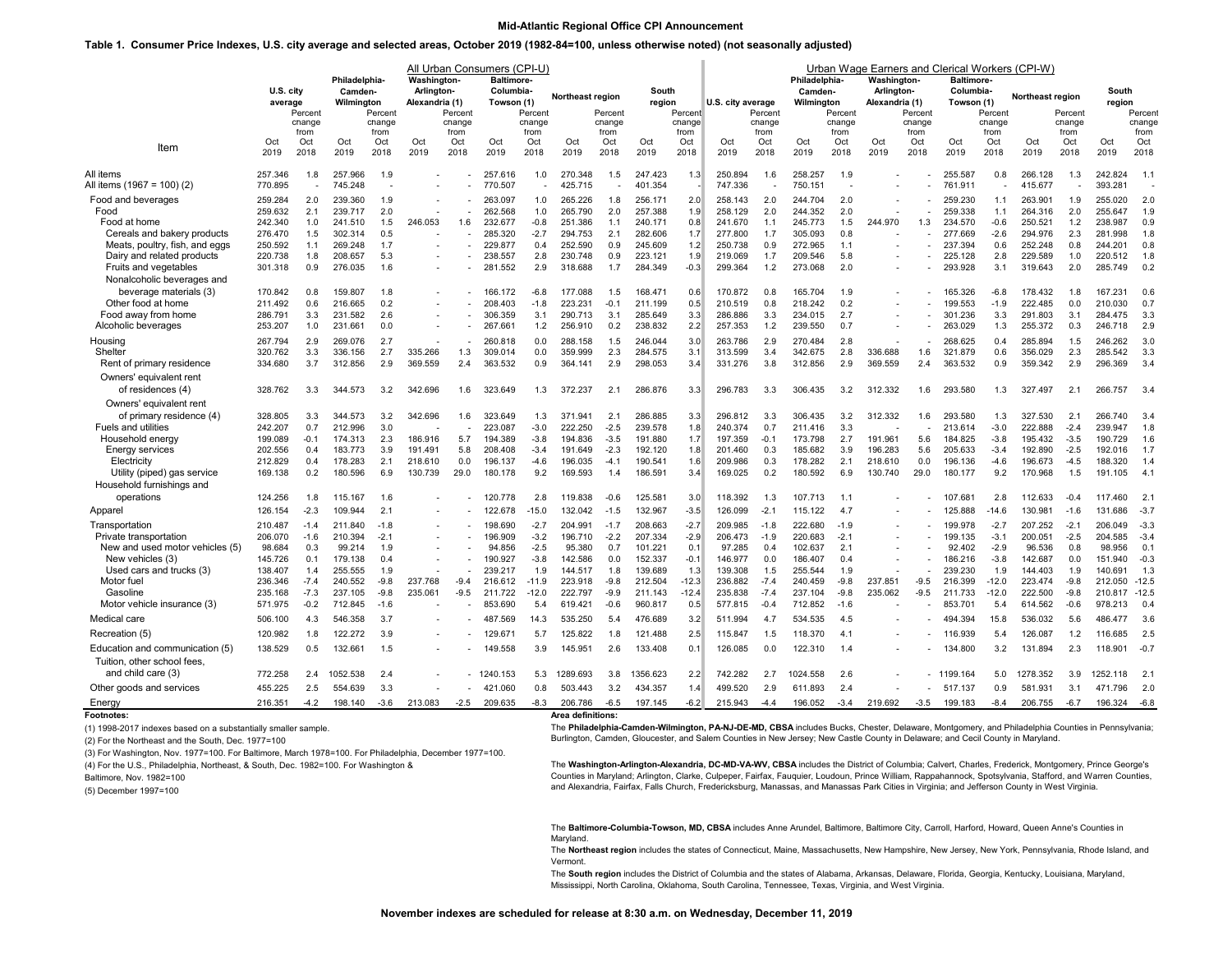## **Mid-Atlantic Regional Office CPI Announcement**

## **Table 1. Consumer Price Indexes, U.S. city average and selected areas, October 2019 (1982-84=100, unless otherwise noted) (not seasonally adjusted)**

|                                                          |                    | U.S. city           |                    | Philadelphia-<br>Camden- |                | All Urban Consumers (CPI-U)<br><b>Washington-</b><br>Arlington- |                    | <b>Baltimore-</b><br>Columbia-<br>Northeast region |                    |                     | South              |                     |                    |                     | Philadelphia-<br>Camden- |                     | Urban Wage Earners and Clerical Workers (CPI-W)<br><b>Washington-</b><br>Arlington- |                     | <b>Baltimore-</b><br>Columbia- |                     | Northeast region   |                     | South              |                     |
|----------------------------------------------------------|--------------------|---------------------|--------------------|--------------------------|----------------|-----------------------------------------------------------------|--------------------|----------------------------------------------------|--------------------|---------------------|--------------------|---------------------|--------------------|---------------------|--------------------------|---------------------|-------------------------------------------------------------------------------------|---------------------|--------------------------------|---------------------|--------------------|---------------------|--------------------|---------------------|
|                                                          | average            | Percent<br>change   | Wilmington         | Percent<br>change        | Alexandria (1) | Percent<br>change                                               | Towson (1)         | Percent<br>change                                  |                    | Percent<br>change   | region             | Percent<br>change   | U.S. city average  | Percent<br>change   | Wilminaton               | Percent<br>change   | Alexandria (1)                                                                      | Percent<br>change   | Towson (1)                     | Percent<br>change   |                    | Percent<br>change   | region             | Percent<br>change   |
| Item                                                     | Oct<br>2019        | from<br>Oct<br>2018 | Oct<br>2019        | from<br>Oct<br>2018      | Oct<br>2019    | from<br>Oct<br>2018                                             | Oct<br>2019        | from<br>Oct<br>2018                                | Oct<br>2019        | from<br>Oct<br>2018 | Oct<br>2019        | from<br>Oct<br>2018 | Oct<br>2019        | from<br>Oct<br>2018 | Oct<br>2019              | from<br>Oct<br>2018 | Oct<br>2019                                                                         | from<br>Oct<br>2018 | Oct<br>2019                    | from<br>Oct<br>2018 | Oct<br>2019        | from<br>Oct<br>2018 | Oct<br>2019        | from<br>Oct<br>2018 |
| All items<br>All items (1967 = 100) (2)                  | 257.346<br>770.895 | 1.8                 | 257.966<br>745.248 | 1.9                      |                |                                                                 | 257.616<br>770.507 | 1.0                                                | 270.348<br>425.715 | 1.5                 | 247.423<br>401.354 | 1.3                 | 250.894<br>747.336 | 1.6                 | 258.257<br>750.15        | 1.9                 |                                                                                     |                     | 255.587<br>761.911             | 0.8                 | 266.128<br>415.677 | 1.3                 | 242.824<br>393.281 | 1.1                 |
| Food and beverages<br>Food                               | 259.284<br>259.632 | 2.0<br>2.1          | 239.360<br>239.717 | 1.9<br>2.0               |                |                                                                 | 263.097<br>262.568 | 1.0<br>1.0                                         | 265.226<br>265.790 | 1.8<br>2.0          | 256.171<br>257.388 | 2.0<br>1.9          | 258.143<br>258.129 | 2.0<br>2.0          | 244.704<br>244.352       | 2.0<br>2.0          |                                                                                     |                     | 259.230<br>259.338             | 1.1<br>1.1          | 263.901<br>264.316 | 1.9<br>2.0          | 255.020<br>255.647 | 2.0<br>1.9          |
| Food at home                                             | 242.340            | 1.0                 | 241.510            | 1.5                      | 246.053        | 1.6                                                             | 232.677            | $-0.8$                                             | 251.386            | 1.1                 | 240.171            | 0.8                 | 241.670            | 1.1                 | 245.773                  | 1.5                 | 244.970                                                                             | 1.3                 | 234.570                        | $-0.6$              | 250.521            | 1.2                 | 238.987            | 0.9                 |
| Cereals and bakery products                              | 276.470            | 1.5                 | 302.314            | 0.5                      |                |                                                                 | 285.320            | $-2.7$                                             | 294.753            | 2.1                 | 282.606            | 1.7                 | 277.800            | 1.7                 | 305.093                  | 0.8                 |                                                                                     |                     | 277.669                        | $-2.6$              | 294.976            | 2.3                 | 281.998            | 1.8                 |
| Meats, poultry, fish, and eggs                           | 250.592            | 1.1                 | 269.248            | 1.7                      |                |                                                                 | 229.877            | 0.4                                                | 252.590            | 0.9                 | 245.609            | 1.2                 | 250.738            | 0.9                 | 272.965                  | 1.1                 |                                                                                     |                     | 237.394                        | 0.6                 | 252.248            | 0.8                 | 244.201            | 0.8                 |
| Dairy and related products<br>Fruits and vegetables      | 220.738<br>301.318 | 1.8<br>0.9          | 208.657<br>276.035 | 5.3<br>1.6               |                |                                                                 | 238.557<br>281.552 | 2.8<br>2.9                                         | 230.748<br>318.688 | 0.9<br>1.7          | 223.121<br>284.349 | 1.9<br>$-0.3$       | 219,069<br>299.364 | 1.7<br>1.2          | 209.546<br>273.068       | 5.8<br>2.0          |                                                                                     |                     | 225.128<br>293.928             | 2.8<br>3.1          | 229.589<br>319.643 | 1.0<br>2.0          | 220.512<br>285.749 | 1.8<br>0.2          |
| Nonalcoholic beverages and                               |                    |                     |                    |                          |                |                                                                 |                    |                                                    |                    |                     |                    |                     |                    |                     |                          |                     |                                                                                     |                     |                                |                     |                    |                     |                    |                     |
| beverage materials (3)                                   | 170.842            | 0.8                 | 159.807            | 1.8                      |                |                                                                 | 166.172            | $-6.8$                                             | 177.088            | 1.5                 | 168.471            | 0.6                 | 170.872            | 0.8                 | 165.704                  | 1.9                 |                                                                                     |                     | 165.326                        | $-6.8$              | 178.432            | 1.8                 | 167.231            | 0.6                 |
| Other food at home                                       | 211.492            | 0.6                 | 216.665            | 0.2                      |                |                                                                 | 208.403            | $-1.8$                                             | 223.231            | $-0.1$              | 211.199            | 0.5                 | 210.519            | 0.8                 | 218.242                  | 0.2                 |                                                                                     |                     | 199.553                        | $-1.9$              | 222.485            | 0.0                 | 210.030            | 0.7                 |
| Food away from home                                      | 286.791            | 3.3                 | 231.582            | 2.6                      |                |                                                                 | 306.359            | 3.1                                                | 290.713            | 3.1                 | 285.649            | 3.3                 | 286.886            | 3.3                 | 234.015                  | 2.7                 |                                                                                     |                     | 301.236                        | 3.3                 | 291.803            | 3.1                 | 284.475            | 3.3                 |
| Alcoholic beverages                                      | 253.207            | 1.0                 | 231.661            | 0.0                      |                |                                                                 | 267.661            | 1.2                                                | 256.910            | 0.2                 | 238.832            | 2.2                 | 257.353            | 1.2                 | 239.550                  | 0.7                 |                                                                                     |                     | 263.029                        | 1.3                 | 255.372            | 0.3                 | 246.718            | 2.9                 |
| Housing                                                  | 267.794            | 2.9                 | 269.076            | 2.7                      |                |                                                                 | 260.818            | 0.0                                                | 288.158            | 1.5                 | 246.044            | 3.0                 | 263.786            | 2.9                 | 270.484                  | 2.8                 |                                                                                     |                     | 268.625                        | 0.4                 | 285.894            | 1.5                 | 246.262            | 3.0                 |
| Shelter                                                  | 320.762            | 3.3                 | 336.156            | 2.7                      | 335.266        | 1.3                                                             | 309.014            | 0.0                                                | 359.999            | 2.3                 | 284.575            | 3.1                 | 313.599            | 3.4                 | 342.675                  | 2.8                 | 336.688                                                                             | 1.6                 | 321.879                        | 0.6                 | 356.029            | 2.3                 | 285.542            | 3.3                 |
| Rent of primary residence                                | 334.680            | 3.7                 | 312.856            | 2.9                      | 369.559        | 2.4                                                             | 363.532            | 0.9                                                | 364.141            | 2.9                 | 298.053            | 3.4                 | 331.276            | 3.8                 | 312.856                  | 2.9                 | 369.559                                                                             | 2.4                 | 363.532                        | 0.9                 | 359.342            | 2.9                 | 296.369            | 3.4                 |
| Owners' equivalent rent<br>of residences (4)             | 328.762            | 3.3                 | 344.573            | 3.2                      | 342.696        | 1.6                                                             | 323.649            | 1.3                                                | 372.237            | 2.1                 | 286.876            | 3.3                 | 296.783            | 3.3                 | 306.435                  | 3.2                 | 312.332                                                                             | 1.6                 | 293.580                        | 1.3                 | 327.497            | 2.1                 | 266.757            | 3.4                 |
| Owners' equivalent rent                                  |                    |                     |                    |                          |                |                                                                 |                    |                                                    |                    |                     |                    |                     |                    |                     |                          |                     |                                                                                     |                     |                                |                     |                    |                     |                    |                     |
| of primary residence (4)                                 | 328.805            | 3.3                 | 344.573            | 3.2                      | 342.696        | 1.6                                                             | 323.649            | 1.3                                                | 371.941            | 2.1                 | 286.885            | 3.3                 | 296.812            | 3.3                 | 306.435                  | 3.2                 | 312.332                                                                             | 1.6                 | 293,580                        | 1.3                 | 327.530            | 2.1                 | 266.740            | 3.4                 |
| Fuels and utilities                                      | 242.207            | 0.7                 | 212.996            | 3.0                      |                |                                                                 | 223.087            | $-3.0$                                             | 222.250            | $-2.5$              | 239.578            | 1.8                 | 240.374            | 0.7                 | 211.416                  | 3.3                 |                                                                                     |                     | 213.614                        | $-3.0$              | 222.888            | $-2.4$              | 239.947            | 1.8                 |
| Household energy                                         | 199.089            | $-0.1$              | 174.313            | 2.3                      | 186.916        | 5.7                                                             | 194.389            | $-3.8$                                             | 194.836            | $-3.5$              | 191.880            | 1.7                 | 197.359            | $-0.1$              | 173.798                  | 2.7                 | 191.961                                                                             | 5.6                 | 184.825                        | $-3.8$              | 195.432            | $-3.5$              | 190.729            | 1.6                 |
| <b>Energy services</b>                                   | 202.556            | 0.4                 | 183.773            | 3.9                      | 191.491        | 5.8                                                             | 208.408            | $-3.4$                                             | 191.649            | $-2.3$              | 192.120            | 1.8                 | 201.460            | 0.3                 | 185.682                  | 3.9                 | 196.283                                                                             | 5.6                 | 205.633                        | $-3.4$              | 192.890            | $-2.5$              | 192.016            | 1.7                 |
| Electricity                                              | 212.829            | 0.4                 | 178.283            | 2.1                      | 218,610        | 0.0<br>29.0                                                     | 196.137<br>180.178 | $-4.6$<br>9.2                                      | 196.035            | $-4.1$              | 190.541<br>186.591 | 1.6                 | 209.986            | 0.3<br>0.2          | 178.282<br>180.592       | 2.1                 | 218.610<br>130.740                                                                  | 0.0<br>29.0         | 196.136<br>180.177             | $-4.6$              | 196.673            | $-4.5$              | 188.320            | 1.4<br>4.1          |
| Utility (piped) gas service<br>Household furnishings and | 169.138            | 0.2                 | 180.596            | 6.9                      | 130.739        |                                                                 |                    |                                                    | 169.593            | 1.4                 |                    | 3.4                 | 169.025            |                     |                          | 6.9                 |                                                                                     |                     |                                | 9.2                 | 170.968            | 1.5                 | 191.105            |                     |
| operations                                               | 124.256            |                     |                    | 1.6                      |                |                                                                 | 120.778            | 2.8                                                | 119.838            | $-0.6$              | 125.581            | 3.0                 | 118.392            |                     | 107.713                  | 1.1                 |                                                                                     |                     | 107.681                        | 2.8                 | 112.633            | $-0.4$              | 117.460            | 2.1                 |
|                                                          | 126.154            | 1.8<br>$-2.3$       | 115.167<br>109.944 | 2.1                      |                |                                                                 | 122.678            | $-15.0$                                            | 132.042            | $-1.5$              | 132.967            | $-3.5$              | 126.099            | 1.3<br>$-2.1$       | 115.122                  | 4.7                 |                                                                                     |                     | 125.888                        | $-14.6$             | 130.981            | $-1.6$              | 131.686            | $-3.7$              |
| Apparel                                                  |                    |                     |                    |                          |                |                                                                 |                    |                                                    |                    |                     |                    |                     |                    |                     |                          |                     |                                                                                     |                     |                                |                     |                    |                     |                    |                     |
| Transportation<br>Private transportation                 | 210.487<br>206.070 | $-1.4$<br>$-1.6$    | 211.840<br>210.394 | $-1.8$<br>$-2.1$         |                |                                                                 | 198.690<br>196.909 | $-2.7$<br>$-3.2$                                   | 204.991<br>196.710 | $-1.7$<br>$-2.2$    | 208.663<br>207.334 | $-2.7$<br>$-2.9$    | 209.985<br>206.473 | $-1.8$<br>$-1.9$    | 222.680<br>220.683       | $-1.9$<br>$-2.1$    |                                                                                     |                     | 199.978<br>199.135             | $-2.7$<br>$-3.1$    | 207.252<br>200.051 | $-2.1$<br>$-2.5$    | 206.049<br>204.585 | $-3.3$<br>$-3.4$    |
| New and used motor vehicles (5)                          | 98.684             | 0.3                 | 99.214             | 1.9                      |                |                                                                 | 94.856             | $-2.5$                                             | 95.380             | 0.7                 | 101.221            | 0.1                 | 97.285             | 0.4                 | 102.637                  | 2.1                 |                                                                                     |                     | 92.402                         | $-2.9$              | 96.536             | 0.8                 | 98.956             | 0.1                 |
| New vehicles (3)                                         | 145.726            | 0.1                 | 179.138            | 0.4                      |                |                                                                 | 190.927            | $-3.8$                                             | 142.586            | 0.0                 | 152.337            | $-0.1$              | 146.977            | 0.0                 | 186.407                  | 0.4                 |                                                                                     |                     | 186.216                        | $-3.8$              | 142.687            | 0.0                 | 151.940            | $-0.3$              |
| Used cars and trucks (3)                                 | 138.407            | 1.4                 | 255.555            | 1.9                      |                |                                                                 | 239.217            | 1.9                                                | 144.517            | 1.8                 | 139.689            | 1.3                 | 139.308            | 1.5                 | 255.544                  | 1.9                 |                                                                                     |                     | 239.230                        | 1.9                 | 144.403            | 1.9                 | 140.691            | 1.3                 |
| Motor fuel                                               | 236.346            | $-7.4$              | 240.552            | $-9.8$                   | 237.768        | $-9.4$                                                          | 216.612            | $-11.9$                                            | 223.918            | $-9.8$              | 212.504            | $-12.3$             | 236.882            | $-7.4$              | 240.459                  | $-9.8$              | 237.851                                                                             | $-9.5$              | 216.399                        | $-12.0$             | 223.474            | $-9.8$              | 212.050            | $-12.5$             |
| Gasoline                                                 | 235.168            | $-7.3$              | 237.105            | $-9.8$                   | 235.061        | $-9.5$                                                          | 211.722            | $-12.0$                                            | 222.797            | $-9.9$              | 211.143            | $-12.4$             | 235.838            | $-7.4$              | 237.104                  | $-9.8$              | 235.062                                                                             | $-9.5$              | 211.733                        | $-12.0$             | 222.500            | $-9.8$              | 210.817 -12.5      |                     |
| Motor vehicle insurance (3)                              | 571.975            | $-0.2$              | 712.845            | $-1.6$                   |                |                                                                 | 853.690            | 5.4                                                | 619.421            | $-0.6$              | 960.817            | 0.5                 | 577.815            | $-0.4$              | 712.852                  | $-1.6$              |                                                                                     |                     | 853.701                        | 5.4                 | 614.562            | $-0.6$              | 978.213            | 0.4                 |
| Medical care                                             | 506.100            | 4.3                 | 546.358            | 3.7                      |                |                                                                 | 487.569            | 14.3                                               | 535.250            | 5.4                 | 476.689            | 3.2                 | 511.994            | 4.7                 | 534.535                  | 4.5                 |                                                                                     |                     | 494.394                        | 15.8                | 536.032            | 5.6                 | 486.477            | 3.6                 |
| Recreation (5)                                           | 120.982            | 1.8                 | 122.272            | 3.9                      |                |                                                                 | 129.67             | 5.7                                                | 125.822            | 1.8                 | 121.488            | 2.5                 | 115.847            | 1.5                 | 118.370                  | 41                  |                                                                                     |                     | 116.939                        | 5.4                 | 126.087            | 1.2                 | 116.685            | 2.5                 |
| Education and communication (5)                          | 138.529            | 0.5                 | 132.661            | 1.5                      |                |                                                                 | 149.558            | 3.9                                                | 145.951            | 2.6                 | 133.408            | 0.1                 | 126.085            | 0.0                 | 122.310                  | 1.4                 |                                                                                     |                     | 134,800                        | 3.2                 | 131.894            | 2.3                 | 118,901            | $-0.7$              |
| Tuition, other school fees.                              |                    |                     |                    |                          |                |                                                                 |                    |                                                    |                    |                     |                    |                     |                    |                     |                          |                     |                                                                                     |                     |                                |                     |                    |                     |                    |                     |
| and child care (3)                                       | 772.258            | 2.4                 | 1052.538           | 2.4                      |                |                                                                 | 1240.153           | 5.3                                                | 1289.693           | 3.8                 | 1356.623           | 2.2                 | 742.282            | 2.7                 | 1024.558                 | 2.6                 |                                                                                     |                     | - 1199.164                     | 5.0                 | 1278.352           | 3.9                 | 1252.118           | 2.1                 |
| Other goods and services                                 | 455.225            | 2.5                 | 554.639            | 3.3                      |                |                                                                 | 421.060            | 0.8                                                | 503.443            | 3.2                 | 434.357            | 1.4                 | 499.520            | 2.9                 | 611.893                  | 2.4                 |                                                                                     |                     | 517.137                        | 0.9                 | 581.931            | 3.1                 | 471.796            | 2.0                 |
| Energy                                                   | 216.351            | $-4.2$              | 198.140            | $-3.6$                   | 213.083        | $-2.5$                                                          | 209.635            | $-8.3$                                             | 206.786            | $-6.5$              | 197.145            | $-6.2$              | 215.943            | $-4.4$              | 196.052                  | $-3.4$              | 219.692                                                                             | $-3.5$              | 199.183                        | $-8.4$              | 206.755            | $-6.7$              | 196.324            | $-6.8$              |
| Footnotes:                                               |                    |                     |                    |                          |                |                                                                 |                    |                                                    | Area definitions:  |                     |                    |                     |                    |                     |                          |                     |                                                                                     |                     |                                |                     |                    |                     |                    |                     |

(1) 1998-2017 indexes based on a substantially smaller sample.

(2) For the Northeast and the South, Dec. 1977=100

(3) For Washington, Nov. 1977=100. For Baltimore, March 1978=100. For Philadelphia, December 1977=100.

(4) For the U.S., Philadelphia, Northeast, & South, Dec. 1982=100. For Washington &

Baltimore, Nov. 1982=100

(5) December 1997=100

The **Philadelphia-Camden-Wilmington, PA-NJ-DE-MD, CBSA** includes Bucks, Chester, Delaware, Montgomery, and Philadelphia Counties in Pennsylvania; Burlington, Camden, Gloucester, and Salem Counties in New Jersey; New Castle County in Delaware; and Cecil County in Maryland.

The **Washington-Arlington-Alexandria, DC-MD-VA-WV, CBSA** includes the District of Columbia; Calvert, Charles, Frederick, Montgomery, Prince George's Counties in Maryland; Arlington, Clarke, Culpeper, Fairfax, Fauquier, Loudoun, Prince William, Rappahannock, Spotsylvania, Stafford, and Warren Counties, and Alexandria, Fairfax, Falls Church, Fredericksburg, Manassas, and Manassas Park Cities in Virginia; and Jefferson County in West Virginia.

The **Baltimore-Columbia-Towson, MD, CBSA** includes Anne Arundel, Baltimore, Baltimore City, Carroll, Harford, Howard, Queen Anne's Counties in Maryland.

The Northeast region includes the states of Connecticut, Maine, Massachusetts, New Hampshire, New Jersey, New York, Pennsylvania, Rhode Island, and Vermont.

The **South region** includes the District of Columbia and the states of Alabama, Arkansas, Delaware, Florida, Georgia, Kentucky, Louisiana, Maryland, Mississippi, North Carolina, Oklahoma, South Carolina, Tennessee, Texas, Virginia, and West Virginia.